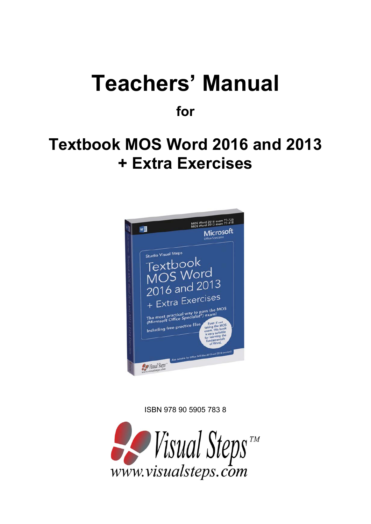# **Teachers' Manual**

**for**

## **Textbook MOS Word 2016 and 2013 + Extra Exercises**



ISBN 978 90 5905 783 8

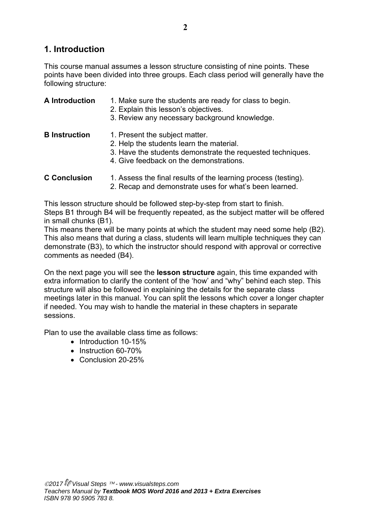## **1. Introduction**

This course manual assumes a lesson structure consisting of nine points. These points have been divided into three groups. Each class period will generally have the following structure:

#### **A Introduction** 1. Make sure the students are ready for class to begin.

- 2. Explain this lesson's objectives.
- 3. Review any necessary background knowledge.
- **B Instruction** 1. Present the subject matter.
	- 2. Help the students learn the material.
	- 3. Have the students demonstrate the requested techniques.
	- 4. Give feedback on the demonstrations.
- **C Conclusion** 1. Assess the final results of the learning process (testing).
	- 2. Recap and demonstrate uses for what's been learned.

This lesson structure should be followed step-by-step from start to finish.

Steps B1 through B4 will be frequently repeated, as the subject matter will be offered in small chunks (B1).

This means there will be many points at which the student may need some help (B2). This also means that during a class, students will learn multiple techniques they can demonstrate (B3), to which the instructor should respond with approval or corrective comments as needed (B4).

On the next page you will see the **lesson structure** again, this time expanded with extra information to clarify the content of the 'how' and "why" behind each step. This structure will also be followed in explaining the details for the separate class meetings later in this manual. You can split the lessons which cover a longer chapter if needed. You may wish to handle the material in these chapters in separate sessions.

Plan to use the available class time as follows:

- Introduction 10-15%
- Instruction 60-70%
- Conclusion 20-25%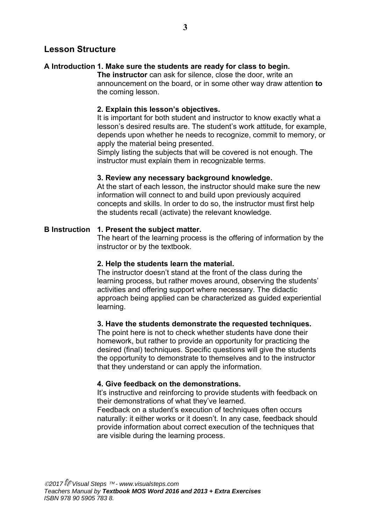#### **Lesson Structure**

#### **A Introduction 1. Make sure the students are ready for class to begin.**

**The instructor** can ask for silence, close the door, write an announcement on the board, or in some other way draw attention **to** the coming lesson.

#### **2. Explain this lesson's objectives.**

It is important for both student and instructor to know exactly what a lesson's desired results are. The student's work attitude, for example, depends upon whether he needs to recognize, commit to memory, or apply the material being presented.

Simply listing the subjects that will be covered is not enough. The instructor must explain them in recognizable terms.

#### **3. Review any necessary background knowledge.**

At the start of each lesson, the instructor should make sure the new information will connect to and build upon previously acquired concepts and skills. In order to do so, the instructor must first help the students recall (activate) the relevant knowledge.

#### **B Instruction 1. Present the subject matter.**

The heart of the learning process is the offering of information by the instructor or by the textbook.

#### **2. Help the students learn the material.**

The instructor doesn't stand at the front of the class during the learning process, but rather moves around, observing the students' activities and offering support where necessary. The didactic approach being applied can be characterized as guided experiential learning.

#### **3. Have the students demonstrate the requested techniques.**

The point here is not to check whether students have done their homework, but rather to provide an opportunity for practicing the desired (final) techniques. Specific questions will give the students the opportunity to demonstrate to themselves and to the instructor that they understand or can apply the information.

#### **4. Give feedback on the demonstrations.**

It's instructive and reinforcing to provide students with feedback on their demonstrations of what they've learned.

Feedback on a student's execution of techniques often occurs naturally: it either works or it doesn't. In any case, feedback should provide information about correct execution of the techniques that are visible during the learning process.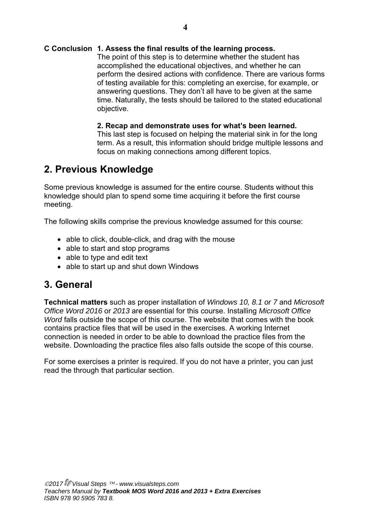#### **C Conclusion 1. Assess the final results of the learning process.**

The point of this step is to determine whether the student has accomplished the educational objectives, and whether he can perform the desired actions with confidence. There are various forms of testing available for this: completing an exercise, for example, or answering questions. They don't all have to be given at the same time. Naturally, the tests should be tailored to the stated educational objective.

#### **2. Recap and demonstrate uses for what's been learned.**

This last step is focused on helping the material sink in for the long term. As a result, this information should bridge multiple lessons and focus on making connections among different topics.

## **2. Previous Knowledge**

Some previous knowledge is assumed for the entire course. Students without this knowledge should plan to spend some time acquiring it before the first course meeting.

The following skills comprise the previous knowledge assumed for this course:

- able to click, double-click, and drag with the mouse
- able to start and stop programs
- able to type and edit text
- able to start up and shut down Windows

## **3. General**

**Technical matters** such as proper installation of *Windows 10, 8.1 or 7* and *Microsoft Office Word 2016* or *2013* are essential for this course. Installing *Microsoft Office Word* falls outside the scope of this course. The website that comes with the book contains practice files that will be used in the exercises. A working Internet connection is needed in order to be able to download the practice files from the website. Downloading the practice files also falls outside the scope of this course.

For some exercises a printer is required. If you do not have a printer, you can just read the through that particular section.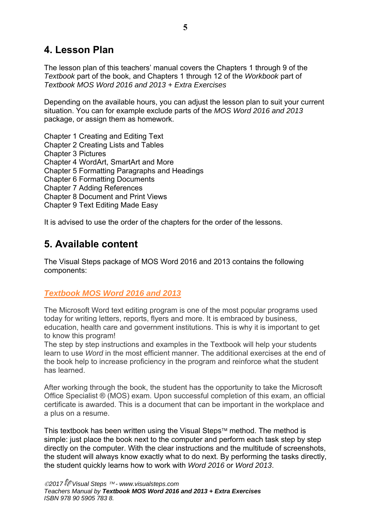## **4. Lesson Plan**

The lesson plan of this teachers' manual covers the Chapters 1 through 9 of the *Textbook* part of the book, and Chapters 1 through 12 of the *Workbook* part of *Textbook MOS Word 2016 and 2013 + Extra Exercises* 

Depending on the available hours, you can adjust the lesson plan to suit your current situation. You can for example exclude parts of the *MOS Word 2016 and 2013* package, or assign them as homework.

Chapter 1 Creating and Editing Text

Chapter 2 Creating Lists and Tables

Chapter 3 Pictures

Chapter 4 WordArt, SmartArt and More

Chapter 5 Formatting Paragraphs and Headings

Chapter 6 Formatting Documents

Chapter 7 Adding References

Chapter 8 Document and Print Views

Chapter 9 Text Editing Made Easy

It is advised to use the order of the chapters for the order of the lessons.

## **5. Available content**

The Visual Steps package of MOS Word 2016 and 2013 contains the following components:

## *Textbook MOS Word 2016 and 2013*

The Microsoft Word text editing program is one of the most popular programs used today for writing letters, reports, flyers and more. It is embraced by business, education, health care and government institutions. This is why it is important to get to know this program!

The step by step instructions and examples in the Textbook will help your students learn to use *Word* in the most efficient manner. The additional exercises at the end of the book help to increase proficiency in the program and reinforce what the student has learned.

After working through the book, the student has the opportunity to take the Microsoft Office Specialist ® (MOS) exam. Upon successful completion of this exam, an official certificate is awarded. This is a document that can be important in the workplace and a plus on a resume.

This textbook has been written using the Visual Steps<sup> $TM$ </sup> method. The method is simple: just place the book next to the computer and perform each task step by step directly on the computer. With the clear instructions and the multitude of screenshots, the student will always know exactly what to do next. By performing the tasks directly, the student quickly learns how to work with *Word 2016* or *Word 2013*.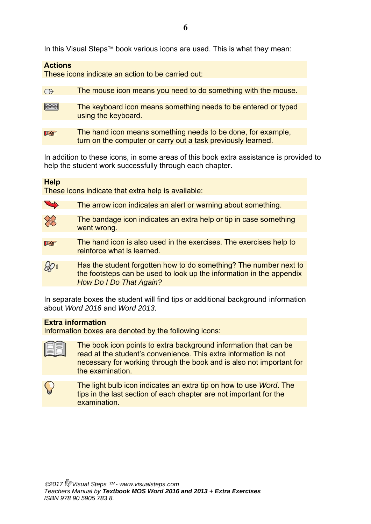In this Visual Steps™ book various icons are used. This is what they mean:

#### **Action s**

These icons indicate an action to be carried out:

| $\bigoplus$  | The mouse icon means you need to do something with the mouse.                                                                |
|--------------|------------------------------------------------------------------------------------------------------------------------------|
|              |                                                                                                                              |
| <b>FRAME</b> | The keyboard icon means something needs to be entered or typed<br>using the keyboard.                                        |
|              |                                                                                                                              |
| LL           | The hand icon means something needs to be done, for example,<br>turn on the computer or carry out a task previously learned. |

In addition to these icons, in some areas of this book extra assistance is provided to help the student work successfully through each chapter.

#### **Help**

These icons indicate that extra help is available:

| $\rightarrow$ |  |  | <b>The arrow icon indicates an alert or warning about something.</b> |  |
|---------------|--|--|----------------------------------------------------------------------|--|
|               |  |  |                                                                      |  |

- The bandage icon indicates an extra help or tip in case something went wrong.
- The hand icon is also used in the exercises. The exercises help to **Ite** reinforce what is learned.
- **1** Has the student forgotten how to do something? The number next to<br>the footsteps can be used to look up the information in the appendix<br>How Do I Do That Again?<br>In separate boxes the student will find tips or additional back Has the student forgotten how to do something? The number next to the footsteps can be used to look up the information in the appendix **How Do I Do That Again?**

about *W Word 2016 6* and *Word d 2013*.

#### **Extra information**

Information boxes are denoted by the following icons:

The book icon points to extra background information that can be read at the student's convenience. This extra information is not necessary for working through the book and is also not important for the exa amination.

The light bulb icon indicates an extra tip on how to use Word. The tips in the last section of each chapter are not important for the examination.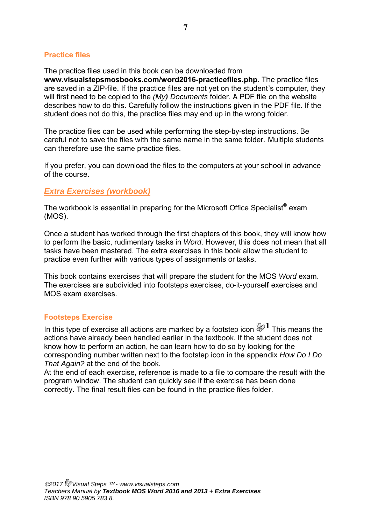#### **Practic ce files**

The practice files used in this book can be downloaded from www.visualstepsmosbooks.com/word2016-practicefiles.php. The practice files are saved in a ZIP-file. If the practice files are not yet on the student's computer, they will first need to be copied to the *(My) Documents* folder. A PDF file on the website describes how to do this. Carefully follow the instructions given in the PDF file. If the student does not do this, the practice files may end up in the wrong folder.

The practice files can be used while performing the step-by-step instructions. Be careful not to save the files with the same name in the same folder. Multiple students can therefore use the same practice files.

If you prefer, you can download the files to the computers at your school in advance of the c course.

#### **Extra Exercises (workbook)**

The workbook is essential in preparing for the Microsoft Office Specialist $^\circ$  exam (MOS). .

Once a student has worked through the first chapters of this book, they will know how to perform the basic, rudimentary tasks in *Word*. However, this does not mean that all tasks have been mastered. The extra exercises in this book allow the student to practice even further with various types of assignments or tasks.

This book contains exercises that will prepare the student for the MOS *Word* exam. The exercises are subdivided into footsteps exercises, do-it-yourself exercises and MOS exam exercises.

#### **Footsteps Exercise**

In this type of exercise all actions are marked by a footstep icon  $\mathscr{D}^1$  This means the actions have already been handled earlier in the textbook. If the student does not know how to perform an action, he can learn how to do so by looking for the corresponding number written next to the footstep icon in the appendix How Do I Do That Again? at the end of the book.

At the end of each exercise, reference is made to a file to compare the result with the program window. The student can quickly see if the exercise has been done correctly. The final result files can be found in the practice files folder.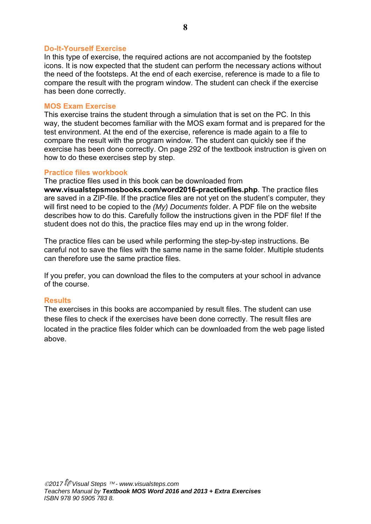#### **Do-It-Yourself Exercise**

In this type of exercise, the required actions are not accompanied by the footstep icons. It is now expected that the student can perform the necessary actions without the need of the footsteps. At the end of each exercise, reference is made to a file to compare the result with the program window. The student can check if the exercise has been done correctly.

#### **MOS Exam Exercise**

This exercise trains the student through a simulation that is set on the PC. In this way, the student becomes familiar with the MOS exam format and is prepared for the test environment. At the end of the exercise, reference is made again to a file to compare the result with the program window. The student can quickly see if the exercise has been done correctly. On page 292 of the textbook instruction is given on how to do these exercises step by step.

#### **Practice files workbook**

The practice files used in this book can be downloaded from

**www.visualstepsmosbooks.com/word2016-practicefiles.php**. The practice files are saved in a ZIP-file. If the practice files are not yet on the student's computer, they will first need to be copied to the *(My) Documents* folder. A PDF file on the website describes how to do this. Carefully follow the instructions given in the PDF file! If the student does not do this, the practice files may end up in the wrong folder.

The practice files can be used while performing the step-by-step instructions. Be careful not to save the files with the same name in the same folder. Multiple students can therefore use the same practice files.

If you prefer, you can download the files to the computers at your school in advance of the course.

#### **Results**

The exercises in this books are accompanied by result files. The student can use these files to check if the exercises have been done correctly. The result files are located in the practice files folder which can be downloaded from the web page listed above.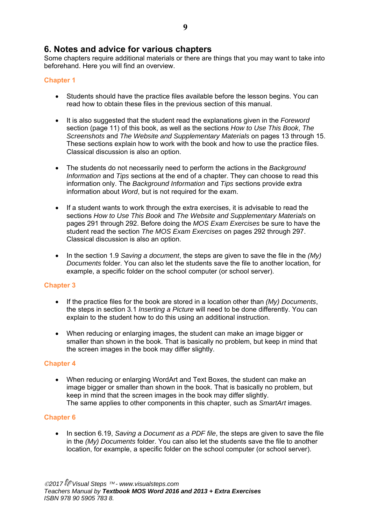### **6. Notes and advice for various chapters**

Some chapters require additional materials or there are things that you may want to take into beforehand. Here you will find an overview.

#### **Chapter 1**

- Students should have the practice files available before the lesson begins. You can read how to obtain these files in the previous section of this manual.
- It is also suggested that the student read the explanations given in the *Foreword* section (page 11) of this book, as well as the sections *How to Use This Book*, *The Screenshots* and *The Website and Supplementary Materials* on pages 13 through 15. These sections explain how to work with the book and how to use the practice files. Classical discussion is also an option.
- The students do not necessarily need to perform the actions in the *Background Information* and *Tips* sections at the end of a chapter. They can choose to read this information only. The *Background Information* and *Tips* sections provide extra information about *Word*, but is not required for the exam.
- If a student wants to work through the extra exercises, it is advisable to read the sections *How to Use This Book* and *The Website and Supplementary Materials* on pages 291 through 292. Before doing the *MOS Exam Exercises* be sure to have the student read the section *The MOS Exam Exercises* on pages 292 through 297. Classical discussion is also an option.
- In the section 1.9 *Saving a document*, the steps are given to save the file in the *(My) Documents* folder. You can also let the students save the file to another location, for example, a specific folder on the school computer (or school server).

#### **Chapter 3**

- If the practice files for the book are stored in a location other than *(My) Documents*, the steps in section 3*.*1 *Inserting a Picture* will need to be done differently. You can explain to the student how to do this using an additional instruction.
- When reducing or enlarging images, the student can make an image bigger or smaller than shown in the book. That is basically no problem, but keep in mind that the screen images in the book may differ slightly.

#### **Chapter 4**

 When reducing or enlarging WordArt and Text Boxes, the student can make an image bigger or smaller than shown in the book. That is basically no problem, but keep in mind that the screen images in the book may differ slightly. The same applies to other components in this chapter, such as *SmartArt* images.

#### **Chapter 6**

• In section 6.19, *Saving a Document as a PDF file*, the steps are given to save the file in the *(My) Documents* folder. You can also let the students save the file to another location, for example, a specific folder on the school computer (or school server).